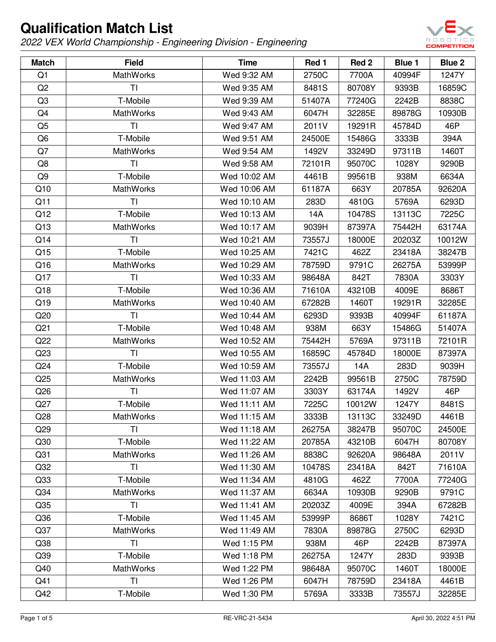

| <b>Match</b>    | <b>Field</b>     | <b>Time</b>  | Red 1  | Red 2  | Blue 1 | <b>Blue 2</b> |
|-----------------|------------------|--------------|--------|--------|--------|---------------|
| Q1              | <b>MathWorks</b> | Wed 9:32 AM  | 2750C  | 7700A  | 40994F | 1247Y         |
| Q2              | TI               | Wed 9:35 AM  | 8481S  | 80708Y | 9393B  | 16859C        |
| Q <sub>3</sub>  | T-Mobile         | Wed 9:39 AM  | 51407A | 77240G | 2242B  | 8838C         |
| Q4              | <b>MathWorks</b> | Wed 9:43 AM  | 6047H  | 32285E | 89878G | 10930B        |
| Q <sub>5</sub>  | TI               | Wed 9:47 AM  | 2011V  | 19291R | 45784D | 46P           |
| Q <sub>6</sub>  | T-Mobile         | Wed 9:51 AM  | 24500E | 15486G | 3333B  | 394A          |
| Q7              | <b>MathWorks</b> | Wed 9:54 AM  | 1492V  | 33249D | 97311B | 1460T         |
| Q8              | TI               | Wed 9:58 AM  | 72101R | 95070C | 1028Y  | 9290B         |
| Q <sub>9</sub>  | T-Mobile         | Wed 10:02 AM | 4461B  | 99561B | 938M   | 6634A         |
| Q10             | <b>MathWorks</b> | Wed 10:06 AM | 61187A | 663Y   | 20785A | 92620A        |
| Q11             | ΤI               | Wed 10:10 AM | 283D   | 4810G  | 5769A  | 6293D         |
| Q12             | T-Mobile         | Wed 10:13 AM | 14A    | 10478S | 13113C | 7225C         |
| Q13             | MathWorks        | Wed 10:17 AM | 9039H  | 87397A | 75442H | 63174A        |
| Q14             | ΤI               | Wed 10:21 AM | 73557J | 18000E | 20203Z | 10012W        |
| Q15             | T-Mobile         | Wed 10:25 AM | 7421C  | 462Z   | 23418A | 38247B        |
| Q16             | <b>MathWorks</b> | Wed 10:29 AM | 78759D | 9791C  | 26275A | 53999P        |
| Q17             | TI               | Wed 10:33 AM | 98648A | 842T   | 7830A  | 3303Y         |
| Q18             | T-Mobile         | Wed 10:36 AM | 71610A | 43210B | 4009E  | 8686T         |
| Q19             | <b>MathWorks</b> | Wed 10:40 AM | 67282B | 1460T  | 19291R | 32285E        |
| Q20             | TI               | Wed 10:44 AM | 6293D  | 9393B  | 40994F | 61187A        |
| Q <sub>21</sub> | T-Mobile         | Wed 10:48 AM | 938M   | 663Y   | 15486G | 51407A        |
| Q22             | <b>MathWorks</b> | Wed 10:52 AM | 75442H | 5769A  | 97311B | 72101R        |
| Q <sub>23</sub> | <b>TI</b>        | Wed 10:55 AM | 16859C | 45784D | 18000E | 87397A        |
| Q24             | T-Mobile         | Wed 10:59 AM | 73557J | 14A    | 283D   | 9039H         |
| Q25             | <b>MathWorks</b> | Wed 11:03 AM | 2242B  | 99561B | 2750C  | 78759D        |
| Q26             | TI               | Wed 11:07 AM | 3303Y  | 63174A | 1492V  | 46P           |
| Q27             | T-Mobile         | Wed 11:11 AM | 7225C  | 10012W | 1247Y  | 8481S         |
| Q28             | MathWorks        | Wed 11:15 AM | 3333B  | 13113C | 33249D | 4461B         |
| Q <sub>29</sub> | ΤI               | Wed 11:18 AM | 26275A | 38247B | 95070C | 24500E        |
| Q30             | T-Mobile         | Wed 11:22 AM | 20785A | 43210B | 6047H  | 80708Y        |
| Q <sub>31</sub> | <b>MathWorks</b> | Wed 11:26 AM | 8838C  | 92620A | 98648A | 2011V         |
| Q <sub>32</sub> | <b>TI</b>        | Wed 11:30 AM | 10478S | 23418A | 842T   | 71610A        |
| Q <sub>33</sub> | T-Mobile         | Wed 11:34 AM | 4810G  | 462Z   | 7700A  | 77240G        |
| Q <sub>34</sub> | MathWorks        | Wed 11:37 AM | 6634A  | 10930B | 9290B  | 9791C         |
| Q <sub>35</sub> | <b>TI</b>        | Wed 11:41 AM | 20203Z | 4009E  | 394A   | 67282B        |
| Q36             | T-Mobile         | Wed 11:45 AM | 53999P | 8686T  | 1028Y  | 7421C         |
| Q <sub>37</sub> | MathWorks        | Wed 11:49 AM | 7830A  | 89878G | 2750C  | 6293D         |
| Q <sub>38</sub> | <b>TI</b>        | Wed 1:15 PM  | 938M   | 46P    | 2242B  | 87397A        |
| Q39             | T-Mobile         | Wed 1:18 PM  | 26275A | 1247Y  | 283D   | 9393B         |
| Q40             | <b>MathWorks</b> | Wed 1:22 PM  | 98648A | 95070C | 1460T  | 18000E        |
| Q41             | ΤI               | Wed 1:26 PM  | 6047H  | 78759D | 23418A | 4461B         |
| Q42             | T-Mobile         | Wed 1:30 PM  | 5769A  | 3333B  | 73557J | 32285E        |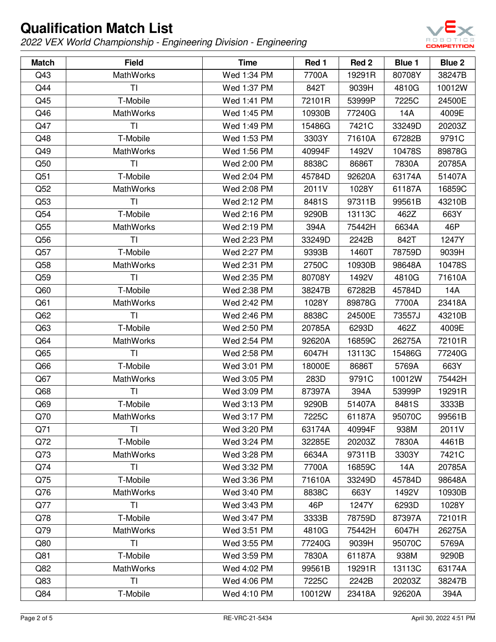

| <b>Match</b>    | <b>Field</b>     | <b>Time</b> | Red 1  | Red 2  | <b>Blue 1</b> | Blue 2 |
|-----------------|------------------|-------------|--------|--------|---------------|--------|
| Q43             | <b>MathWorks</b> | Wed 1:34 PM | 7700A  | 19291R | 80708Y        | 38247B |
| Q44             | <b>TI</b>        | Wed 1:37 PM | 842T   | 9039H  | 4810G         | 10012W |
| Q45             | T-Mobile         | Wed 1:41 PM | 72101R | 53999P | 7225C         | 24500E |
| Q46             | <b>MathWorks</b> | Wed 1:45 PM | 10930B | 77240G | 14A           | 4009E  |
| Q47             | <b>TI</b>        | Wed 1:49 PM | 15486G | 7421C  | 33249D        | 20203Z |
| Q48             | T-Mobile         | Wed 1:53 PM | 3303Y  | 71610A | 67282B        | 9791C  |
| Q49             | <b>MathWorks</b> | Wed 1:56 PM | 40994F | 1492V  | 10478S        | 89878G |
| Q50             | TI               | Wed 2:00 PM | 8838C  | 8686T  | 7830A         | 20785A |
| Q51             | T-Mobile         | Wed 2:04 PM | 45784D | 92620A | 63174A        | 51407A |
| Q52             | <b>MathWorks</b> | Wed 2:08 PM | 2011V  | 1028Y  | 61187A        | 16859C |
| Q53             | <b>TI</b>        | Wed 2:12 PM | 8481S  | 97311B | 99561B        | 43210B |
| Q54             | T-Mobile         | Wed 2:16 PM | 9290B  | 13113C | 462Z          | 663Y   |
| Q <sub>55</sub> | MathWorks        | Wed 2:19 PM | 394A   | 75442H | 6634A         | 46P    |
| Q56             | TI               | Wed 2:23 PM | 33249D | 2242B  | 842T          | 1247Y  |
| Q57             | T-Mobile         | Wed 2:27 PM | 9393B  | 1460T  | 78759D        | 9039H  |
| Q58             | MathWorks        | Wed 2:31 PM | 2750C  | 10930B | 98648A        | 10478S |
| Q59             | <b>TI</b>        | Wed 2:35 PM | 80708Y | 1492V  | 4810G         | 71610A |
| Q60             | T-Mobile         | Wed 2:38 PM | 38247B | 67282B | 45784D        | 14A    |
| Q61             | MathWorks        | Wed 2:42 PM | 1028Y  | 89878G | 7700A         | 23418A |
| Q62             | T <sub>l</sub>   | Wed 2:46 PM | 8838C  | 24500E | 73557J        | 43210B |
| Q63             | T-Mobile         | Wed 2:50 PM | 20785A | 6293D  | 462Z          | 4009E  |
| Q64             | <b>MathWorks</b> | Wed 2:54 PM | 92620A | 16859C | 26275A        | 72101R |
| Q65             | <b>TI</b>        | Wed 2:58 PM | 6047H  | 13113C | 15486G        | 77240G |
| Q66             | T-Mobile         | Wed 3:01 PM | 18000E | 8686T  | 5769A         | 663Y   |
| Q67             | MathWorks        | Wed 3:05 PM | 283D   | 9791C  | 10012W        | 75442H |
| Q68             | <b>TI</b>        | Wed 3:09 PM | 87397A | 394A   | 53999P        | 19291R |
| Q69             | T-Mobile         | Wed 3:13 PM | 9290B  | 51407A | 8481S         | 3333B  |
| Q70             | MathWorks        | Wed 3:17 PM | 7225C  | 61187A | 95070C        | 99561B |
| Q71             | ΤI               | Wed 3:20 PM | 63174A | 40994F | 938M          | 2011V  |
| Q72             | T-Mobile         | Wed 3:24 PM | 32285E | 20203Z | 7830A         | 4461B  |
| Q73             | <b>MathWorks</b> | Wed 3:28 PM | 6634A  | 97311B | 3303Y         | 7421C  |
| Q74             | TI               | Wed 3:32 PM | 7700A  | 16859C | 14A           | 20785A |
| Q75             | T-Mobile         | Wed 3:36 PM | 71610A | 33249D | 45784D        | 98648A |
| Q76             | MathWorks        | Wed 3:40 PM | 8838C  | 663Y   | 1492V         | 10930B |
| Q77             | T <sub>l</sub>   | Wed 3:43 PM | 46P    | 1247Y  | 6293D         | 1028Y  |
| Q78             | T-Mobile         | Wed 3:47 PM | 3333B  | 78759D | 87397A        | 72101R |
| Q79             | <b>MathWorks</b> | Wed 3:51 PM | 4810G  | 75442H | 6047H         | 26275A |
| Q80             | <b>TI</b>        | Wed 3:55 PM | 77240G | 9039H  | 95070C        | 5769A  |
| Q81             | T-Mobile         | Wed 3:59 PM | 7830A  | 61187A | 938M          | 9290B  |
| Q82             | <b>MathWorks</b> | Wed 4:02 PM | 99561B | 19291R | 13113C        | 63174A |
| Q83             | TI               | Wed 4:06 PM | 7225C  | 2242B  | 20203Z        | 38247B |
| Q84             | T-Mobile         | Wed 4:10 PM | 10012W | 23418A | 92620A        | 394A   |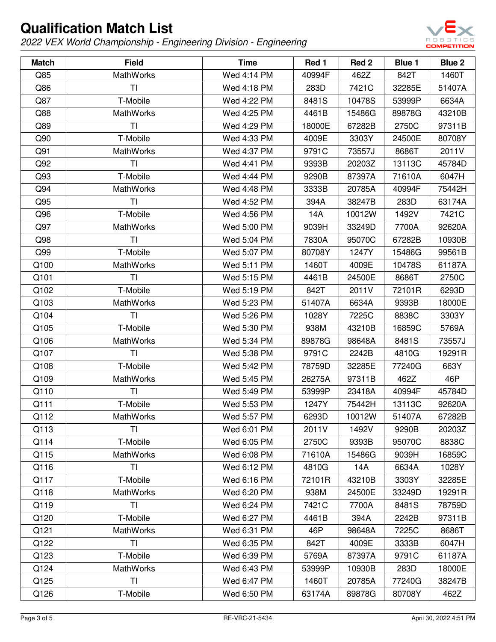

| <b>Match</b> | <b>Field</b>     | <b>Time</b> | Red 1  | Red <sub>2</sub> | Blue 1 | <b>Blue 2</b> |
|--------------|------------------|-------------|--------|------------------|--------|---------------|
| Q85          | <b>MathWorks</b> | Wed 4:14 PM | 40994F | 462Z             | 842T   | 1460T         |
| Q86          | ΤI               | Wed 4:18 PM | 283D   | 7421C            | 32285E | 51407A        |
| Q87          | T-Mobile         | Wed 4:22 PM | 8481S  | 10478S           | 53999P | 6634A         |
| Q88          | <b>MathWorks</b> | Wed 4:25 PM | 4461B  | 15486G           | 89878G | 43210B        |
| Q89          | TI               | Wed 4:29 PM | 18000E | 67282B           | 2750C  | 97311B        |
| Q90          | T-Mobile         | Wed 4:33 PM | 4009E  | 3303Y            | 24500E | 80708Y        |
| Q91          | <b>MathWorks</b> | Wed 4:37 PM | 9791C  | 73557J           | 8686T  | 2011V         |
| Q92          | TI               | Wed 4:41 PM | 9393B  | 20203Z           | 13113C | 45784D        |
| Q93          | T-Mobile         | Wed 4:44 PM | 9290B  | 87397A           | 71610A | 6047H         |
| Q94          | <b>MathWorks</b> | Wed 4:48 PM | 3333B  | 20785A           | 40994F | 75442H        |
| Q95          | ΤI               | Wed 4:52 PM | 394A   | 38247B           | 283D   | 63174A        |
| Q96          | T-Mobile         | Wed 4:56 PM | 14A    | 10012W           | 1492V  | 7421C         |
| Q97          | <b>MathWorks</b> | Wed 5:00 PM | 9039H  | 33249D           | 7700A  | 92620A        |
| Q98          | ΤI               | Wed 5:04 PM | 7830A  | 95070C           | 67282B | 10930B        |
| Q99          | T-Mobile         | Wed 5:07 PM | 80708Y | 1247Y            | 15486G | 99561B        |
| Q100         | <b>MathWorks</b> | Wed 5:11 PM | 1460T  | 4009E            | 10478S | 61187A        |
| Q101         | TI               | Wed 5:15 PM | 4461B  | 24500E           | 8686T  | 2750C         |
| Q102         | T-Mobile         | Wed 5:19 PM | 842T   | 2011V            | 72101R | 6293D         |
| Q103         | MathWorks        | Wed 5:23 PM | 51407A | 6634A            | 9393B  | 18000E        |
| Q104         | <b>TI</b>        | Wed 5:26 PM | 1028Y  | 7225C            | 8838C  | 3303Y         |
| Q105         | T-Mobile         | Wed 5:30 PM | 938M   | 43210B           | 16859C | 5769A         |
| Q106         | MathWorks        | Wed 5:34 PM | 89878G | 98648A           | 8481S  | 73557J        |
| Q107         | <b>TI</b>        | Wed 5:38 PM | 9791C  | 2242B            | 4810G  | 19291R        |
| Q108         | T-Mobile         | Wed 5:42 PM | 78759D | 32285E           | 77240G | 663Y          |
| Q109         | <b>MathWorks</b> | Wed 5:45 PM | 26275A | 97311B           | 462Z   | 46P           |
| Q110         | ΤI               | Wed 5:49 PM | 53999P | 23418A           | 40994F | 45784D        |
| Q111         | T-Mobile         | Wed 5:53 PM | 1247Y  | 75442H           | 13113C | 92620A        |
| Q112         | MathWorks        | Wed 5:57 PM | 6293D  | 10012W           | 51407A | 67282B        |
| Q113         | ΤI               | Wed 6:01 PM | 2011V  | 1492V            | 9290B  | 20203Z        |
| Q114         | T-Mobile         | Wed 6:05 PM | 2750C  | 9393B            | 95070C | 8838C         |
| Q115         | <b>MathWorks</b> | Wed 6:08 PM | 71610A | 15486G           | 9039H  | 16859C        |
| Q116         | <b>TI</b>        | Wed 6:12 PM | 4810G  | 14A              | 6634A  | 1028Y         |
| Q117         | T-Mobile         | Wed 6:16 PM | 72101R | 43210B           | 3303Y  | 32285E        |
| Q118         | <b>MathWorks</b> | Wed 6:20 PM | 938M   | 24500E           | 33249D | 19291R        |
| Q119         | <b>TI</b>        | Wed 6:24 PM | 7421C  | 7700A            | 8481S  | 78759D        |
| Q120         | T-Mobile         | Wed 6:27 PM | 4461B  | 394A             | 2242B  | 97311B        |
| Q121         | MathWorks        | Wed 6:31 PM | 46P    | 98648A           | 7225C  | 8686T         |
| Q122         | <b>TI</b>        | Wed 6:35 PM | 842T   | 4009E            | 3333B  | 6047H         |
| Q123         | T-Mobile         | Wed 6:39 PM | 5769A  | 87397A           | 9791C  | 61187A        |
| Q124         | <b>MathWorks</b> | Wed 6:43 PM | 53999P | 10930B           | 283D   | 18000E        |
| Q125         | ΤI               | Wed 6:47 PM | 1460T  | 20785A           | 77240G | 38247B        |
| Q126         | T-Mobile         | Wed 6:50 PM | 63174A | 89878G           | 80708Y | 462Z          |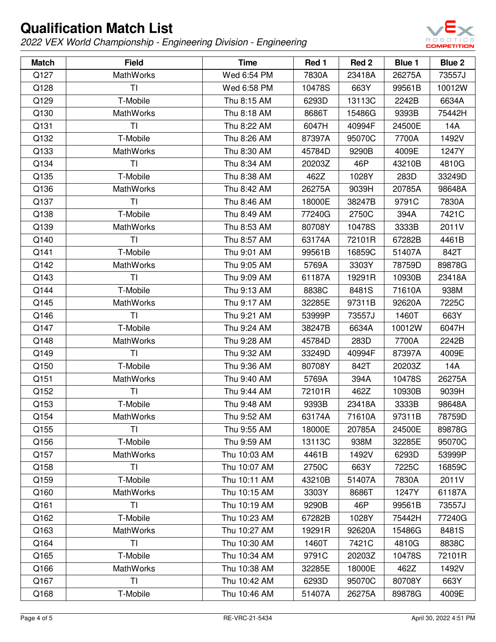

| <b>Match</b> | <b>Field</b>     | <b>Time</b>  | Red 1  | Red 2  | Blue 1 | Blue 2 |
|--------------|------------------|--------------|--------|--------|--------|--------|
| Q127         | <b>MathWorks</b> | Wed 6:54 PM  | 7830A  | 23418A | 26275A | 73557J |
| Q128         | TI               | Wed 6:58 PM  | 10478S | 663Y   | 99561B | 10012W |
| Q129         | T-Mobile         | Thu 8:15 AM  | 6293D  | 13113C | 2242B  | 6634A  |
| Q130         | <b>MathWorks</b> | Thu 8:18 AM  | 8686T  | 15486G | 9393B  | 75442H |
| Q131         | TI               | Thu 8:22 AM  | 6047H  | 40994F | 24500E | 14A    |
| Q132         | T-Mobile         | Thu 8:26 AM  | 87397A | 95070C | 7700A  | 1492V  |
| Q133         | MathWorks        | Thu 8:30 AM  | 45784D | 9290B  | 4009E  | 1247Y  |
| Q134         | TI               | Thu 8:34 AM  | 20203Z | 46P    | 43210B | 4810G  |
| Q135         | T-Mobile         | Thu 8:38 AM  | 462Z   | 1028Y  | 283D   | 33249D |
| Q136         | <b>MathWorks</b> | Thu 8:42 AM  | 26275A | 9039H  | 20785A | 98648A |
| Q137         | ΤI               | Thu 8:46 AM  | 18000E | 38247B | 9791C  | 7830A  |
| Q138         | T-Mobile         | Thu 8:49 AM  | 77240G | 2750C  | 394A   | 7421C  |
| Q139         | MathWorks        | Thu 8:53 AM  | 80708Y | 10478S | 3333B  | 2011V  |
| Q140         | ΤI               | Thu 8:57 AM  | 63174A | 72101R | 67282B | 4461B  |
| Q141         | T-Mobile         | Thu 9:01 AM  | 99561B | 16859C | 51407A | 842T   |
| Q142         | <b>MathWorks</b> | Thu 9:05 AM  | 5769A  | 3303Y  | 78759D | 89878G |
| Q143         | TI               | Thu 9:09 AM  | 61187A | 19291R | 10930B | 23418A |
| Q144         | T-Mobile         | Thu 9:13 AM  | 8838C  | 8481S  | 71610A | 938M   |
| Q145         | MathWorks        | Thu 9:17 AM  | 32285E | 97311B | 92620A | 7225C  |
| Q146         | <b>TI</b>        | Thu 9:21 AM  | 53999P | 73557J | 1460T  | 663Y   |
| Q147         | T-Mobile         | Thu 9:24 AM  | 38247B | 6634A  | 10012W | 6047H  |
| Q148         | MathWorks        | Thu 9:28 AM  | 45784D | 283D   | 7700A  | 2242B  |
| Q149         | <b>TI</b>        | Thu 9:32 AM  | 33249D | 40994F | 87397A | 4009E  |
| Q150         | T-Mobile         | Thu 9:36 AM  | 80708Y | 842T   | 20203Z | 14A    |
| Q151         | <b>MathWorks</b> | Thu 9:40 AM  | 5769A  | 394A   | 10478S | 26275A |
| Q152         | ΤI               | Thu 9:44 AM  | 72101R | 462Z   | 10930B | 9039H  |
| Q153         | T-Mobile         | Thu 9:48 AM  | 9393B  | 23418A | 3333B  | 98648A |
| Q154         | MathWorks        | Thu 9:52 AM  | 63174A | 71610A | 97311B | 78759D |
| Q155         | ΤI               | Thu 9:55 AM  | 18000E | 20785A | 24500E | 89878G |
| Q156         | T-Mobile         | Thu 9:59 AM  | 13113C | 938M   | 32285E | 95070C |
| Q157         | <b>MathWorks</b> | Thu 10:03 AM | 4461B  | 1492V  | 6293D  | 53999P |
| Q158         | <b>TI</b>        | Thu 10:07 AM | 2750C  | 663Y   | 7225C  | 16859C |
| Q159         | T-Mobile         | Thu 10:11 AM | 43210B | 51407A | 7830A  | 2011V  |
| Q160         | MathWorks        | Thu 10:15 AM | 3303Y  | 8686T  | 1247Y  | 61187A |
| Q161         | <b>TI</b>        | Thu 10:19 AM | 9290B  | 46P    | 99561B | 73557J |
| Q162         | T-Mobile         | Thu 10:23 AM | 67282B | 1028Y  | 75442H | 77240G |
| Q163         | MathWorks        | Thu 10:27 AM | 19291R | 92620A | 15486G | 8481S  |
| Q164         | <b>TI</b>        | Thu 10:30 AM | 1460T  | 7421C  | 4810G  | 8838C  |
| Q165         | T-Mobile         | Thu 10:34 AM | 9791C  | 20203Z | 10478S | 72101R |
| Q166         | <b>MathWorks</b> | Thu 10:38 AM | 32285E | 18000E | 462Z   | 1492V  |
| Q167         | <b>TI</b>        | Thu 10:42 AM | 6293D  | 95070C | 80708Y | 663Y   |
| Q168         | T-Mobile         | Thu 10:46 AM | 51407A | 26275A | 89878G | 4009E  |